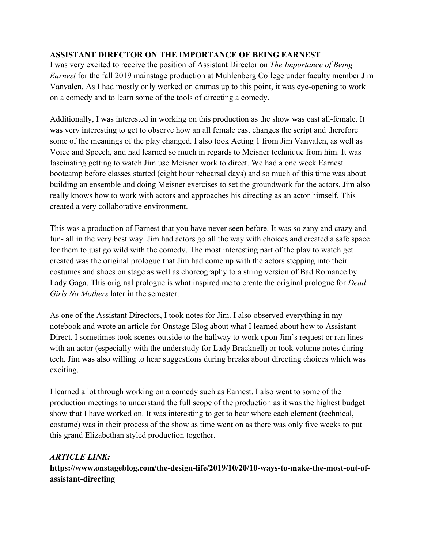## **ASSISTANT DIRECTOR ON THE IMPORTANCE OF BEING EARNEST**

I was very excited to receive the position of Assistant Director on *The Importance of Being Earnest* for the fall 2019 mainstage production at Muhlenberg College under faculty member Jim Vanvalen. As I had mostly only worked on dramas up to this point, it was eye-opening to work on a comedy and to learn some of the tools of directing a comedy.

Additionally, I was interested in working on this production as the show was cast all-female. It was very interesting to get to observe how an all female cast changes the script and therefore some of the meanings of the play changed. I also took Acting 1 from Jim Vanvalen, as well as Voice and Speech, and had learned so much in regards to Meisner technique from him. It was fascinating getting to watch Jim use Meisner work to direct. We had a one week Earnest bootcamp before classes started (eight hour rehearsal days) and so much of this time was about building an ensemble and doing Meisner exercises to set the groundwork for the actors. Jim also really knows how to work with actors and approaches his directing as an actor himself. This created a very collaborative environment.

This was a production of Earnest that you have never seen before. It was so zany and crazy and fun- all in the very best way. Jim had actors go all the way with choices and created a safe space for them to just go wild with the comedy. The most interesting part of the play to watch get created was the original prologue that Jim had come up with the actors stepping into their costumes and shoes on stage as well as choreography to a string version of Bad Romance by Lady Gaga. This original prologue is what inspired me to create the original prologue for *Dead Girls No Mothers* later in the semester.

As one of the Assistant Directors, I took notes for Jim. I also observed everything in my notebook and wrote an article for Onstage Blog about what I learned about how to Assistant Direct. I sometimes took scenes outside to the hallway to work upon Jim's request or ran lines with an actor (especially with the understudy for Lady Bracknell) or took volume notes during tech. Jim was also willing to hear suggestions during breaks about directing choices which was exciting.

I learned a lot through working on a comedy such as Earnest. I also went to some of the production meetings to understand the full scope of the production as it was the highest budget show that I have worked on. It was interesting to get to hear where each element (technical, costume) was in their process of the show as time went on as there was only five weeks to put this grand Elizabethan styled production together.

## *ARTICLE LINK:*

**https://www.onstageblog.com/the-design-life/2019/10/20/10-ways-to-make-the-most-out-ofassistant-directing**